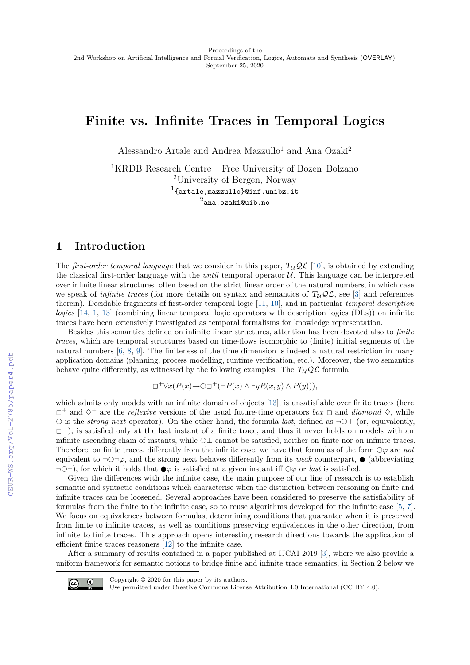# **Finite vs. Infinite Traces in Temporal Logics**

Alessandro Artale and Andrea Mazzullo<sup>1</sup> and Ana Ozaki<sup>2</sup>

<sup>1</sup>KRDB Research Centre – Free University of Bozen–Bolzano <sup>2</sup>University of Bergen, Norway  $^{1}$ {artale,mazzullo}@inf.unibz.it 2 ana.ozaki@uib.no

## **1 Introduction**

The *first-order temporal language* that we consider in this paper,  $T_U\mathcal{OL}$  [\[10\]](#page--1-0), is obtained by extending the classical first-order language with the *until* temporal operator U. This language can be interpreted over infinite linear structures, often based on the strict linear order of the natural numbers, in which case we speak of *infinite traces* (for more details on syntax and semantics of  $T_u\mathcal{QL}$ , see [\[3\]](#page--1-1) and references therein). Decidable fragments of first-order temporal logic [\[11,](#page--1-2) [10\]](#page--1-0), and in particular *temporal description logics* [\[14,](#page--1-3) [1,](#page--1-4) [13\]](#page--1-5) (combining linear temporal logic operators with description logics (DLs)) on infinite traces have been extensively investigated as temporal formalisms for knowledge representation.

Besides this semantics defined on infinite linear structures, attention has been devoted also to *finite traces*, which are temporal structures based on time-flows isomorphic to (finite) initial segments of the natural numbers [\[6,](#page--1-6) [8,](#page--1-7) [9\]](#page--1-8). The finiteness of the time dimension is indeed a natural restriction in many application domains (planning, process modelling, runtime verification, etc.). Moreover, the two semantics behave quite differently, as witnessed by the following examples. The  $T_{\mathcal{U}}\mathcal{Q}\mathcal{L}$  formula

 $\Box^+\forall x(P(x) \rightarrow \bigcirc \Box^+(-P(x) \land \exists y R(x,y) \land P(y))),$ 

which admits only models with an infinite domain of objects [\[13\]](#page--1-5), is unsatisfiable over finite traces (here  $\Box^+$  and  $\diamondsuit^+$  are the *reflexive* versions of the usual future-time operators *box*  $\Box$  and *diamond*  $\diamondsuit$ , while  $\circ$  is the *strong next* operator). On the other hand, the formula *last*, defined as  $\neg$  (or, equivalently,  $\Box \bot$ ), is satisfied only at the last instant of a finite trace, and thus it never holds on models with an infinite ascending chain of instants, while  $\bigcirc\bot$  cannot be satisfied, neither on finite nor on infinite traces. Therefore, on finite traces, differently from the infinite case, we have that formulas of the form  $\bigcirc\varphi$  are *not* equivalent to  $\neg \bigcirc \neg \varphi$ , and the strong next behaves differently from its *weak* counterpart,  $\bullet$  (abbreviating  $\exists$   $\bigcirc$   $\neg$ ), for which it holds that  $\bullet \varphi$  is satisfied at a given instant iff  $\Diamond \varphi$  or *last* is satisfied.

Given the differences with the infinite case, the main purpose of our line of research is to establish semantic and syntactic conditions which characterise when the distinction between reasoning on finite and infinite traces can be loosened. Several approaches have been considered to preserve the satisfiability of formulas from the finite to the infinite case, so to reuse algorithms developed for the infinite case [\[5,](#page--1-9) [7\]](#page--1-10). We focus on equivalences between formulas, determining conditions that guarantee when it is preserved from finite to infinite traces, as well as conditions preserving equivalences in the other direction, from infinite to finite traces. This approach opens interesting research directions towards the application of efficient finite traces reasoners [\[12\]](#page--1-11) to the infinite case.

After a summary of results contained in a paper published at IJCAI 2019 [\[3\]](#page--1-1), where we also provide a uniform framework for semantic notions to bridge finite and infinite trace semantics, in Section 2 below we



Copyright © 2020 for this paper by its authors.

Use permitted under Creative Commons License Attribution 4.0 International (CC BY 4.0).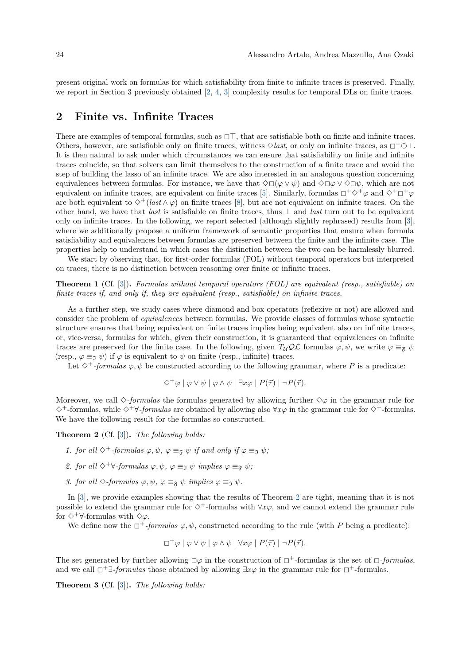present original work on formulas for which satisfiability from finite to infinite traces is preserved. Finally, we report in Section 3 previously obtained [\[2,](#page-4-0) [4,](#page-4-1) [3\]](#page-4-2) complexity results for temporal DLs on finite traces.

#### **2 Finite vs. Infinite Traces**

There are examples of temporal formulas, such as  $\Box \top$ , that are satisfiable both on finite and infinite traces. Others, however, are satisfiable only on finite traces, witness  $\Diamond$ *last*, or only on infinite traces, as  $\Box^+ \circ \top$ . It is then natural to ask under which circumstances we can ensure that satisfiability on finite and infinite traces coincide, so that solvers can limit themselves to the construction of a finite trace and avoid the step of building the lasso of an infinite trace. We are also interested in an analogous question concerning equivalences between formulas. For instance, we have that  $\Diamond \Box (\varphi \lor \psi)$  and  $\Diamond \Box \varphi \lor \Diamond \Box \psi$ , which are not equivalent on infinite traces, are equivalent on finite traces [\[5\]](#page-4-3). Similarly, formulas  $\Box^+\Diamond^+\varphi$  and  $\Diamond^+\Box^+\varphi$ are both equivalent to  $\diamond^+($ *last*  $\wedge \varphi)$  on finite traces [\[8\]](#page-4-4), but are not equivalent on infinite traces. On the other hand, we have that *last* is satisfiable on finite traces, thus ⊥ and *last* turn out to be equivalent only on infinite traces. In the following, we report selected (although slightly rephrased) results from [\[3\]](#page-4-2), where we additionally propose a uniform framework of semantic properties that ensure when formula satisfiability and equivalences between formulas are preserved between the finite and the infinite case. The properties help to understand in which cases the distinction between the two can be harmlessly blurred.

We start by observing that, for first-order formulas (FOL) without temporal operators but interpreted on traces, there is no distinction between reasoning over finite or infinite traces.

**Theorem 1** (Cf. [\[3\]](#page-4-2))**.** *Formulas without temporal operators (FOL) are equivalent (resp., satisfiable) on finite traces if, and only if, they are equivalent (resp., satisfiable) on infinite traces.*

As a further step, we study cases where diamond and box operators (reflexive or not) are allowed and consider the problem of *equivalences* between formulas. We provide classes of formulas whose syntactic structure ensures that being equivalent on finite traces implies being equivalent also on infinite traces, or, vice-versa, formulas for which, given their construction, it is guaranteed that equivalences on infinite traces are preserved for the finite case. In the following, given  $T_{\mathcal{U}}\mathcal{Q}\mathcal{L}$  formulas  $\varphi, \psi$ , we write  $\varphi \equiv_{\tilde{\mathcal{R}}} \psi$ (resp.,  $\varphi \equiv_{\mathfrak{I}} \psi$ ) if  $\varphi$  is equivalent to  $\psi$  on finite (resp., infinite) traces.

Let  $\diamond^+$ *-formulas*  $\varphi, \psi$  be constructed according to the following grammar, where P is a predicate:

$$
\Diamond^+\varphi \mid \varphi \vee \psi \mid \varphi \wedge \psi \mid \exists x \varphi \mid P(\vec{\tau}) \mid \neg P(\vec{\tau}).
$$

Moreover, we call  $\Diamond$ -*formulas* the formulas generated by allowing further  $\Diamond \varphi$  in the grammar rule for <sup>3</sup><sup>+</sup>-formulas, while <sup>3</sup><sup>+</sup>∀*-formulas* are obtained by allowing also <sup>∀</sup>*xϕ* in the grammar rule for <sup>3</sup><sup>+</sup>-formulas. We have the following result for the formulas so constructed.

<span id="page-1-0"></span>**Theorem 2** (Cf. [\[3\]](#page-4-2))**.** *The following holds:*

- *1. for all*  $\diamondsuit^+$ *-formulas*  $\varphi, \psi, \varphi \equiv_{\mathfrak{F}} \psi$  *if and only if*  $\varphi \equiv_{\mathfrak{I}} \psi$ *;*
- *2. for all*  $\diamond^+\forall$ *-formulas*  $\varphi, \psi, \varphi \equiv \neg \psi$  *implies*  $\varphi \equiv \neg \psi$ *;*
- *3. for all*  $\diamond$ -*formulas*  $\varphi, \psi, \varphi \equiv_{\mathfrak{F}} \psi$  *implies*  $\varphi \equiv_{\mathfrak{I}} \psi$ *.*

In [\[3\]](#page-4-2), we provide examples showing that the results of Theorem [2](#page-1-0) are tight, meaning that it is not possible to extend the grammar rule for <sup>3</sup><sup>+</sup>-formulas with <sup>∀</sup>*xϕ*, and we cannot extend the grammar rule for <sup>3</sup><sup>+</sup>∀-formulas with <sup>3</sup>*ϕ*.

We define now the  $\Box^+$ -formulas  $\varphi, \psi$ , constructed according to the rule (with *P* being a predicate):

$$
\Box^+\varphi \mid \varphi \vee \psi \mid \varphi \wedge \psi \mid \forall x \varphi \mid P(\vec{\tau}) \mid \neg P(\vec{\tau}).
$$

The set generated by further allowing  $\Box \varphi$  in the construction of  $\Box^+$ -formulas is the set of  $\Box$ -formulas, and we call <sup>2</sup><sup>+</sup>∃*-formulas* those obtained by allowing <sup>∃</sup>*xϕ* in the grammar rule for <sup>2</sup><sup>+</sup>-formulas.

<span id="page-1-1"></span>**Theorem 3** (Cf. [\[3\]](#page-4-2))**.** *The following holds:*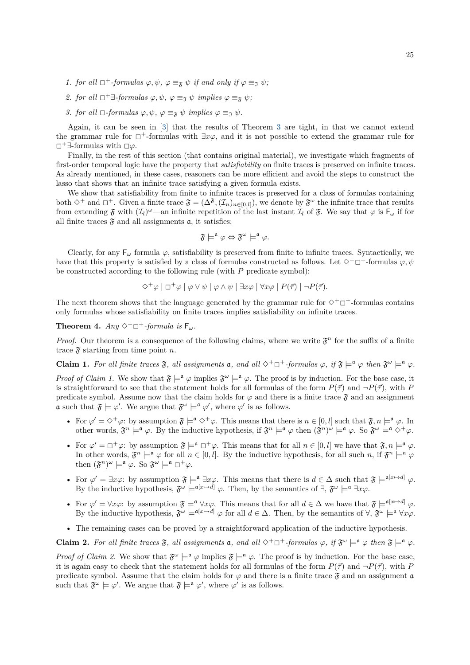- *1. for all*  $\Box^+$ *-formulas*  $\varphi, \psi, \varphi \equiv_{\mathfrak{F}} \psi$  *if and only if*  $\varphi \equiv_{\mathfrak{I}} \psi$ *;*
- *2. for all*  $\Box$ <sup>+</sup> $\exists$ -*formulas*  $\varphi, \psi, \varphi \equiv \neg \psi$  *implies*  $\varphi \equiv \neg \psi$ *;*
- *3. for all*  $\Box$ -*formulas*  $\varphi, \psi, \varphi \equiv_{\mathfrak{F}} \psi$  *implies*  $\varphi \equiv_{\mathfrak{I}} \psi$ *.*

Again, it can be seen in [\[3\]](#page-4-2) that the results of Theorem [3](#page-1-1) are tight, in that we cannot extend the grammar rule for  $\Box^+$ -formulas with  $\exists x\varphi$ , and it is not possible to extend the grammar rule for <sup>2</sup><sup>+</sup>∃-formulas with <sup>2</sup>*ϕ*.

Finally, in the rest of this section (that contains original material), we investigate which fragments of first-order temporal logic have the property that *satisfiability* on finite traces is preserved on infinite traces. As already mentioned, in these cases, reasoners can be more efficient and avoid the steps to construct the lasso that shows that an infinite trace satisfying a given formula exists.

We show that satisfiability from finite to infinite traces is preserved for a class of formulas containing both  $\diamond^+$  and  $\square^+$ . Given a finite trace  $\mathfrak{F} = (\Delta^{\mathfrak{F}},(\mathcal{I}_n)_{n\in[0,l]}),$  we denote by  $\mathfrak{F}^\omega$  the infinite trace that results from extending  $\mathfrak{F}$  with  $(\mathcal{I}_l)^\omega$ —an infinite repetition of the last instant  $\mathcal{I}_l$  of  $\mathfrak{F}$ . We say that  $\varphi$  is  $\mathsf{F}_\omega$  if for all finite traces  $\mathfrak{F}$  and all assignments  $\mathfrak{a}$ , it satisfies:

$$
\mathfrak{F}\models^{\mathfrak{a}}\varphi\Leftrightarrow \mathfrak{F}^{\omega}\models^{\mathfrak{a}}\varphi.
$$

Clearly, for any  $F_\omega$  formula  $\varphi$ , satisfiability is preserved from finite to infinite traces. Syntactically, we have that this property is satisfied by a class of formulas constructed as follows. Let  $\diamond^+\Box^+$ -formulas  $\varphi, \psi$ be constructed according to the following rule (with *P* predicate symbol):

$$
\Diamond^+\varphi \mid \Box^+\varphi \mid \varphi \vee \psi \mid \varphi \wedge \psi \mid \exists x \varphi \mid \forall x \varphi \mid P(\vec{\tau}) \mid \neg P(\vec{\tau}).
$$

The next theorem shows that the language generated by the grammar rule for  $\diamond^+\Box^+$ -formulas contains only formulas whose satisfiability on finite traces implies satisfiability on infinite traces.

**Theorem 4.**  $Anu \diamond^+ \square^+$ *-formula is*  $F_{\omega}$ *.* 

*Proof.* Our theorem is a consequence of the following claims, where we write  $\mathfrak{F}^n$  for the suffix of a finite trace  $\mathfrak{F}$  starting from time point *n*.

**Claim 1.** For all finite traces  $\mathfrak{F}$ , all assignments **a**, and all  $\diamond^+\Box^+$ *-formulas*  $\varphi$ , if  $\mathfrak{F} \models^{\mathfrak{a}} \varphi$  then  $\mathfrak{F}^{\omega} \models^{\mathfrak{a}} \varphi$ .

*Proof of Claim 1.* We show that  $\mathfrak{F} \models^{\mathfrak{a}} \varphi$  implies  $\mathfrak{F}^{\omega} \models^{\mathfrak{a}} \varphi$ . The proof is by induction. For the base case, it is straightforward to see that the statement holds for all formulas of the form  $P(\vec{\tau})$  and  $\neg P(\vec{\tau})$ , with *P* predicate symbol. Assume now that the claim holds for  $\varphi$  and there is a finite trace  $\mathfrak{F}$  and an assignment **a** such that  $\mathfrak{F} \models \varphi'$ . We argue that  $\mathfrak{F}^{\omega} \models^{\mathfrak{a}} \varphi'$ , where  $\varphi'$  is as follows.

- For  $\varphi' = \Diamond^+ \varphi$ : by assumption  $\mathfrak{F} \models^{\mathfrak{a}} \Diamond^+ \varphi$ . This means that there is  $n \in [0, l]$  such that  $\mathfrak{F}, n \models^{\mathfrak{a}} \varphi$ . In other words,  $\mathfrak{F}^n \models^{\mathfrak{a}} \varphi$ . By the inductive hypothesis, if  $\mathfrak{F}^n \models^{\mathfrak{a}} \varphi$  then  $(\mathfrak{F}^n)^\omega \models^{\mathfrak{a}} \varphi$ . So  $\mathfrak{F}^\omega \models^{\mathfrak{a}} \Diamond^+ \varphi$ .
- For  $\varphi' = \Box^+ \varphi$ : by assumption  $\mathfrak{F} \models^{\mathfrak{a}} \Box^+ \varphi$ . This means that for all  $n \in [0, l]$  we have that  $\mathfrak{F}, n \models^{\mathfrak{a}} \varphi$ . In other words,  $\mathfrak{F}^n \models^{\mathfrak{a}} \varphi$  for all  $n \in [0, l]$ . By the inductive hypothesis, for all such *n*, if  $\mathfrak{F}^n \models^{\mathfrak{a}} \varphi$ then  $(\mathfrak{F}^n)^\omega \models^{\mathfrak{a}} \varphi$ . So  $\mathfrak{F}^\omega \models^{\mathfrak{a}} \Box^+ \varphi$ .
- For  $\varphi' = \exists x \varphi$ : by assumption  $\mathfrak{F} \models^{\mathfrak{a}} \exists x \varphi$ . This means that there is  $d \in \Delta$  such that  $\mathfrak{F} \models^{\mathfrak{a}[x \mapsto d]} \varphi$ . By the inductive hypothesis,  $\mathfrak{F}^{\omega} \models^{a[x \mapsto d]} \varphi$ . Then, by the semantics of  $\exists$ ,  $\mathfrak{F}^{\omega} \models^{a} \exists x \varphi$ .
- For  $\varphi' = \forall x \varphi$ : by assumption  $\mathfrak{F} \models^{\mathfrak{a}} \forall x \varphi$ . This means that for all  $d \in \Delta$  we have that  $\mathfrak{F} \models^{\mathfrak{a}[x \mapsto d]} \varphi$ . By the inductive hypothesis,  $\mathfrak{F}^{\omega} \models^{\mathfrak{a}[x \mapsto d]} \varphi$  for all  $d \in \Delta$ . Then, by the semantics of  $\forall$ ,  $\mathfrak{F}^{\omega} \models^{\mathfrak{a}} \forall x \varphi$ .
- The remaining cases can be proved by a straightforward application of the inductive hypothesis.

**Claim 2.** For all finite traces  $\mathfrak{F}$ , all assignments **a**, and all  $\diamond^+\Box^+$ *-formulas*  $\varphi$ , if  $\mathfrak{F}^\omega \models^{\mathfrak{a}} \varphi$  then  $\mathfrak{F} \models^{\mathfrak{a}} \varphi$ .

*Proof of Claim 2.* We show that  $\mathfrak{F}^{\omega} \models^{\mathfrak{a}} \varphi$  implies  $\mathfrak{F} \models^{\mathfrak{a}} \varphi$ . The proof is by induction. For the base case, it is again easy to check that the statement holds for all formulas of the form  $P(\vec{\tau})$  and  $\neg P(\vec{\tau})$ , with *P* predicate symbol. Assume that the claim holds for  $\varphi$  and there is a finite trace  $\mathfrak{F}$  and an assignment  $\mathfrak{a}$ such that  $\mathfrak{F}^{\omega} \models \varphi'$ . We argue that  $\mathfrak{F} \models^{\mathfrak{a}} \varphi'$ , where  $\varphi'$  is as follows.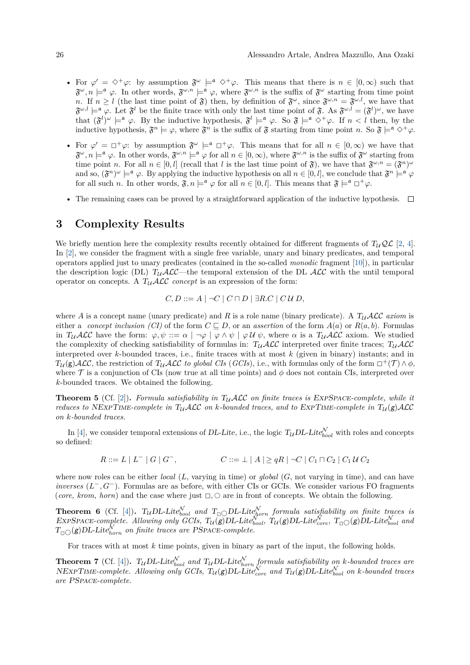- For  $\varphi' = \Diamond^+ \varphi$ : by assumption  $\mathfrak{F}^\omega \models^{\mathfrak{a}} \Diamond^+ \varphi$ . This means that there is  $n \in [0, \infty)$  such that  $\mathfrak{F}^{\omega}, n \models^{\mathfrak{a}} \varphi$ . In other words,  $\mathfrak{F}^{\omega,n} \models^{\mathfrak{a}} \varphi$ , where  $\mathfrak{F}^{\omega,n}$  is the suffix of  $\mathfrak{F}^{\omega}$  starting from time point *n*. If  $n \geq l$  (the last time point of  $\mathfrak{F}$ ) then, by definition of  $\mathfrak{F}^{\omega}$ , since  $\mathfrak{F}^{\omega,n} = \mathfrak{F}^{\omega,l}$ , we have that  $\mathfrak{F}^{\omega,l} \models^{\mathfrak{a}} \varphi$ . Let  $\mathfrak{F}^l$  be the finite trace with only the last time point of  $\mathfrak{F}$ . As  $\mathfrak{F}^{\omega,l} = (\mathfrak{F}^l)^{\omega}$ , we have that  $(\mathfrak{F}^l)^{\omega} \models^{\mathfrak{a}} \varphi$ . By the inductive hypothesis,  $\mathfrak{F}^l \models^{\mathfrak{a}} \varphi$ . So  $\mathfrak{F} \models^{\mathfrak{a}} \Diamond^+ \varphi$ . If  $n < l$  then, by the inductive hypothesis,  $\mathfrak{F}^n \models \varphi$ , where  $\mathfrak{F}^n$  is the suffix of  $\mathfrak{F}$  starting from time point *n*. So  $\mathfrak{F} \models^{\mathfrak{a}} \Diamond^+ \varphi$ .
- For  $\varphi' = \Box^{\dagger} \varphi$ : by assumption  $\mathfrak{F}^{\omega} \models^{\mathfrak{a}} \Box^{\dagger} \varphi$ . This means that for all  $n \in [0, \infty)$  we have that  $\mathfrak{F}^{\omega}, n \models^{\mathfrak{a}} \varphi$ . In other words,  $\mathfrak{F}^{\omega,n} \models^{\mathfrak{a}} \varphi$  for all  $n \in [0, \infty)$ , wh time point *n*. For all  $n \in [0, l]$  (recall that *l* is the last time point of  $\mathfrak{F}$ ), we have that  $\mathfrak{F}^{\omega,n} = (\mathfrak{F}^n)^{\omega}$ and so,  $(\mathfrak{F}^n)^\omega \models^{\mathfrak{a}} \varphi$ . By applying the inductive hypothesis on all  $n \in [0, l]$ , we conclude that  $\mathfrak{F}^n \models^{\mathfrak{a}} \varphi$ for all such *n*. In other words,  $\mathfrak{F}, n \models^{\mathfrak{a}} \varphi$  for all  $n \in [0, l]$ . This means that  $\mathfrak{F} \models^{\mathfrak{a}} \Box^+ \varphi$ .
- The remaining cases can be proved by a straightforward application of the inductive hypothesis.  $\Box$

# **3 Complexity Results**

We briefly mention here the complexity results recently obtained for different fragments of  $T_uQ\mathcal{L}$  [\[2,](#page-4-0) [4\]](#page-4-1). In [\[2\]](#page-4-0), we consider the fragment with a single free variable, unary and binary predicates, and temporal operators applied just to unary predicates (contained in the so-called *monodic* fragment [\[10\]](#page-4-5)), in particular the description logic (DL)  $T_{\mathcal{U}}\mathcal{ALC}$ —the temporal extension of the DL  $\mathcal{ALC}$  with the until temporal operator on concepts. A  $T_{\mathcal{U}}\mathcal{ALC}$  *concept* is an expression of the form:

$$
C, D ::= A \mid \neg C \mid C \sqcap D \mid \exists R.C \mid C \cup D,
$$

where *A* is a concept name (unary predicate) and *R* is a role name (binary predicate). A  $T_u$  *ALC axiom* is either a *concept inclusion (CI)* of the form  $C \sqsubseteq D$ , or an *assertion* of the form  $A(a)$  or  $R(a, b)$ . Formulas in  $T_{\mathcal{U}}\mathcal{ALC}$  have the form:  $\varphi, \psi ::= \alpha \mid \neg \varphi \mid \varphi \wedge \psi \mid \varphi \mathcal{U} \psi$ , where  $\alpha$  is a  $T_{\mathcal{U}}\mathcal{ALC}$  axiom. We studied the complexity of checking satisfiability of formulas in:  $T_{\mathcal{U}}\mathcal{ALC}$  interpreted over finite traces;  $T_{\mathcal{U}}\mathcal{ALC}$ interpreted over *k*-bounded traces, i.e., finite traces with at most *k* (given in binary) instants; and in  $T_{\mathcal{U}}(\mathbf{g})\mathcal{ALC}$ , the restriction of  $T_{\mathcal{U}}\mathcal{ALC}$  *to global CIs* (*GCIs*), i.e., with formulas only of the form  $\Box^+(\mathcal{T}) \wedge \phi$ , where  $\tau$  is a conjunction of CIs (now true at all time points) and  $\phi$  does not contain CIs, interpreted over *k*-bounded traces. We obtained the following.

**Theorem 5** (Cf. [\[2\]](#page-4-0)). *Formula satisfiability in*  $T<sub>U</sub>$  *ALC on finite traces is* EXPSPACE-complete, while it *reduces to* NEXPTIME-complete in  $T_{\mathcal{U}}\mathcal{ALC}$  on *k*-bounded traces, and to EXPTIME-complete in  $T_{\mathcal{U}}(g)\mathcal{ALC}$ *on k-bounded traces.*

In [\[4\]](#page-4-1), we consider temporal extensions of *DL-Lite*, i.e., the logic  $T_{\mathcal{U}}DL\text{-}Lite_{bool}^{\mathcal{N}}$  with roles and concepts so defined:

$$
R ::= L | L^- | G | G^-, \qquad \qquad C ::= \perp | A | \geq qR | \neg C | C_1 \sqcap C_2 | C_1 U C_2
$$

where now roles can be either *local* (*L*, varying in time) or *global* (*G*, not varying in time), and can have *inverses*  $(L^-, G^-)$ . Formulas are as before, with either CIs or GCIs. We consider various FO fragments (*core, krom, horn*) and the case where just  $\Box$ ,  $\Diamond$  are in front of concepts. We obtain the following.

**Theorem 6** (Cf. [\[4\]](#page-4-1)).  $T_U DL\text{-}Lite_{bool}^N$  *and*  $T_D DL\text{-}Lite_{born}^N$  *formula satisfiability on finite traces is*  $\text{EXPSPACE-complete.}$  Allowing only  $\overline{GCls}$ ,  $T_u(\overline{g})DL\text{-}Lite_{bool}^{\mathcal{N}}$ ,  $T_u(g)DL\text{-}Lite_{core}^{\mathcal{N}}$ ,  $T_{\Box}\bigcirc(g)DL\text{-}Lite_{bool}^{\mathcal{N}}$  and  $T_{\Box\bigcirc}(g)DL\text{-}Lie^{\bar{\mathcal{N}}}_{horn}$  on finite traces are PSPACE-complete.

For traces with at most *k* time points, given in binary as part of the input, the following holds.

**Theorem 7** (Cf. [\[4\]](#page-4-1)).  $T_{\mathcal{U}}$ DL-Lite $_{bool}^{\mathcal{N}}$  and  $T_{\mathcal{U}}$ DL-Lite $_{horn}^{\mathcal{N}}$  formula satisfiability on *k*-bounded traces are  $NEXPTIME-complete.$  Allowing only  $GCIs$ ,  $T_{\mathcal{U}}(g)DL-Lite_{core}^{\mathcal{N}}$  and  $T_{\mathcal{U}}(g)DL-Lite_{bool}^{\mathcal{N}}$  on *k*-bounded traces *are* PSpace*-complete.*